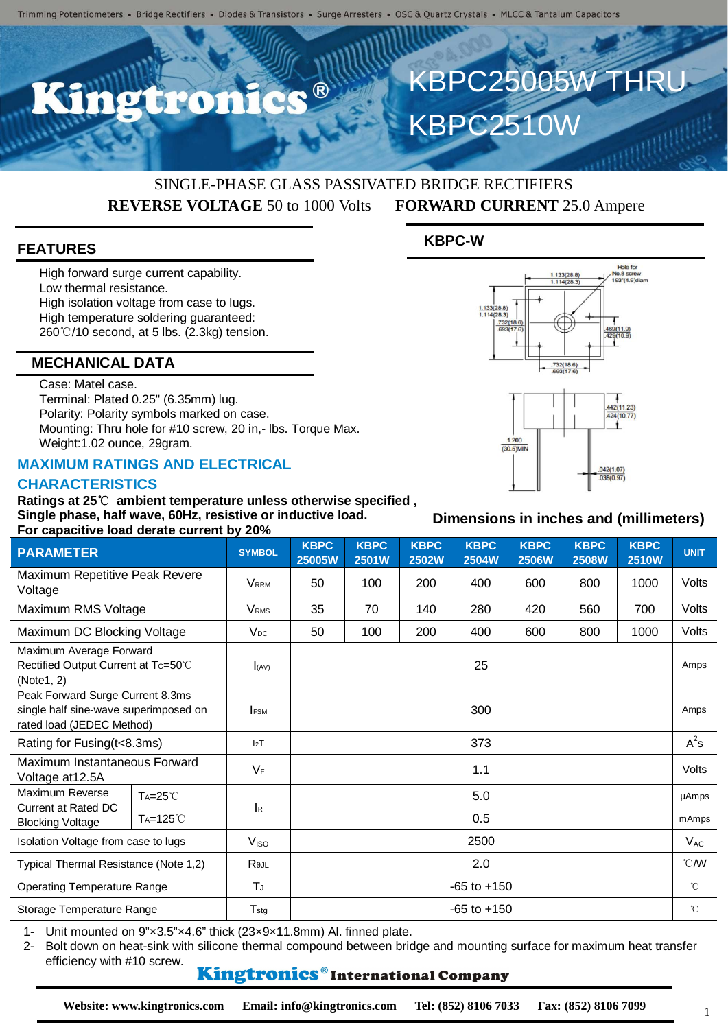

# KBPC25005W THRU KBPC2510W

# SINGLE-PHASE GLASS PASSIVATED BRIDGE RECTIFIERS **REVERSE VOLTAGE** 50 to 1000 Volts **FORWARD CURRENT** 25.0 Ampere

#### **FEATURES**

High forward surge current capability. Low thermal resistance. High isolation voltage from case to lugs. High temperature soldering guaranteed: 260℃/10 second, at 5 lbs. (2.3kg) tension.

#### **MECHANICAL DATA**

Case: Matel case.

Terminal: Plated 0.25" (6.35mm) lug. Polarity: Polarity symbols marked on case. Mounting: Thru hole for #10 screw, 20 in,- lbs. Torque Max. Weight:1.02 ounce, 29gram.

### **MAXIMUM RATINGS AND ELECTRICAL**

#### **CHARACTERISTICS**

**Ratings at 25**℃ **ambient temperature unless otherwise specified , Single phase, half wave, 60Hz, resistive or inductive load. For capacitive load derate current by 20%**

| <b>PARAMETER</b>                                                                                       |                      | <b>SYMBOL</b>               | <b>KBPC</b>     | <b>KBPC</b><br><b>KBPC</b><br><b>KBPC</b><br><b>KBPC</b><br><b>KBPC</b><br><b>KBPC</b> |              |              |              |              |              |              |
|--------------------------------------------------------------------------------------------------------|----------------------|-----------------------------|-----------------|----------------------------------------------------------------------------------------|--------------|--------------|--------------|--------------|--------------|--------------|
|                                                                                                        |                      |                             | 25005W          | 2501W                                                                                  | <b>2502W</b> | <b>2504W</b> | <b>2506W</b> | <b>2508W</b> | <b>2510W</b> | <b>UNIT</b>  |
| Maximum Repetitive Peak Revere<br>Voltage                                                              |                      | <b>VRRM</b>                 | 50              | 100                                                                                    | 200          | 400          | 600          | 800          | 1000         | Volts        |
| Maximum RMS Voltage                                                                                    |                      | <b>VRMS</b>                 | 35              | 70                                                                                     | 140          | 280          | 420          | 560          | 700          | Volts        |
| Maximum DC Blocking Voltage                                                                            |                      | V <sub>DC</sub>             | 50              | 100                                                                                    | 200          | 400          | 600          | 800          | 1000         | Volts        |
| Maximum Average Forward<br>Rectified Output Current at Tc=50°C<br>(Note1, 2)                           |                      | (x)                         | 25              |                                                                                        |              |              |              |              |              | Amps         |
| Peak Forward Surge Current 8.3ms<br>single half sine-wave superimposed on<br>rated load (JEDEC Method) |                      | <b>IFSM</b>                 | 300             |                                                                                        |              |              |              |              |              | Amps         |
| Rating for Fusing (t<8.3ms)                                                                            |                      | 12T                         | 373             |                                                                                        |              |              |              |              |              | $A^2$ s      |
| Maximum Instantaneous Forward<br>Voltage at 12.5A                                                      |                      | $V_F$                       | 1.1             |                                                                                        |              |              |              |              |              | Volts        |
| Maximum Reverse<br><b>Current at Rated DC</b><br><b>Blocking Voltage</b>                               | $Ta=25^{\circ}C$     | <b>I</b> R                  | 5.0             |                                                                                        |              |              |              |              |              | µAmps        |
|                                                                                                        | T <sub>A</sub> =125℃ |                             | 0.5             |                                                                                        |              |              |              |              |              | mAmps        |
| Isolation Voltage from case to lugs                                                                    |                      | V <sub>ISO</sub>            | 2500            |                                                                                        |              |              |              |              |              | $V_{AC}$     |
| Typical Thermal Resistance (Note 1,2)                                                                  |                      | Rejl                        | 2.0             |                                                                                        |              |              |              |              |              |              |
| <b>Operating Temperature Range</b>                                                                     |                      | TJ                          | $-65$ to $+150$ |                                                                                        |              |              |              |              |              | $^{\circ}$ C |
| Storage Temperature Range                                                                              |                      | $\mathsf{T}_{\textsf{stg}}$ | $-65$ to $+150$ |                                                                                        |              |              |              |              |              | $^{\circ}$ C |

1- Unit mounted on 9"×3.5"×4.6" thick (23×9×11.8mm) Al. finned plate.

2- Bolt down on heat-sink with silicone thermal compound between bridge and mounting surface for maximum heat transfer efficiency with #10 screw.

## Kingtronics®International Company

**Website: www.kingtronics.com Email: info@kingtronics.com Tel: (852) 8106 7033 Fax: (852) 8106 7099**

# **KBPC-W**



#### **Dimensions in inches and (millimeters)**